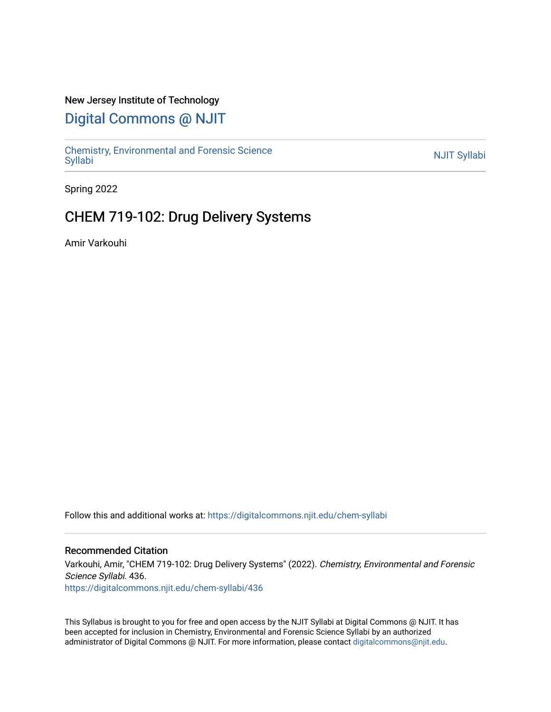### New Jersey Institute of Technology

# [Digital Commons @ NJIT](https://digitalcommons.njit.edu/)

Chemistry, Environmental and Forensic Science<br>Syllabi

Spring 2022

# CHEM 719-102: Drug Delivery Systems

Amir Varkouhi

Follow this and additional works at: [https://digitalcommons.njit.edu/chem-syllabi](https://digitalcommons.njit.edu/chem-syllabi?utm_source=digitalcommons.njit.edu%2Fchem-syllabi%2F436&utm_medium=PDF&utm_campaign=PDFCoverPages) 

#### Recommended Citation

Varkouhi, Amir, "CHEM 719-102: Drug Delivery Systems" (2022). Chemistry, Environmental and Forensic Science Syllabi. 436. [https://digitalcommons.njit.edu/chem-syllabi/436](https://digitalcommons.njit.edu/chem-syllabi/436?utm_source=digitalcommons.njit.edu%2Fchem-syllabi%2F436&utm_medium=PDF&utm_campaign=PDFCoverPages) 

This Syllabus is brought to you for free and open access by the NJIT Syllabi at Digital Commons @ NJIT. It has been accepted for inclusion in Chemistry, Environmental and Forensic Science Syllabi by an authorized administrator of Digital Commons @ NJIT. For more information, please contact [digitalcommons@njit.edu.](mailto:digitalcommons@njit.edu)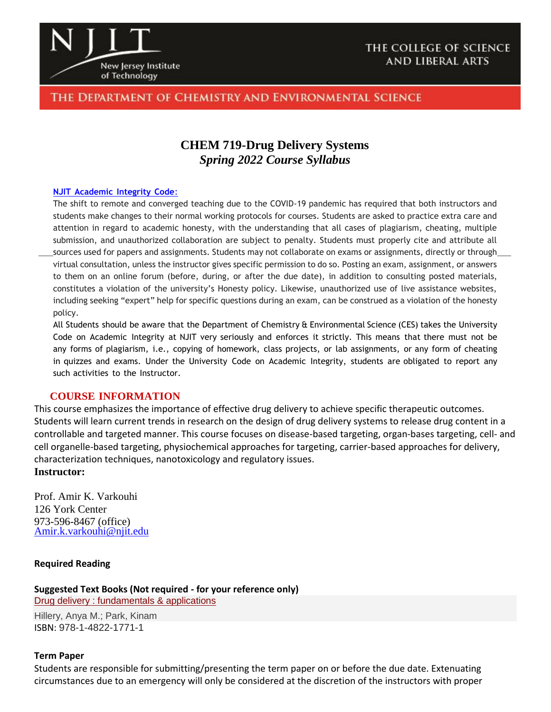

## The Department of Chemistry and Environmental Science

## **CHEM 719-Drug Delivery Systems** *Spring 2022 Course Syllabus*

#### **NJIT [Academic](https://www.njit.edu/policies/sites/policies/files/academic-integrity-code.pdf) Integrity Code**:

The shift to remote and converged teaching due to the COVID-19 pandemic has required that both instructors and students make changes to their normal working protocols for courses. Students are asked to practice extra care and attention in regard to academic honesty, with the understanding that all cases of plagiarism, cheating, multiple submission, and unauthorized collaboration are subject to penalty. Students must properly cite and attribute all sources used for papers and assignments. Students may not collaborate on exams or assignments, directly or through virtual consultation, unless the instructor gives specific permission to do so. Posting an exam, assignment, or answers to them on an online forum (before, during, or after the due date), in addition to consulting posted materials, constitutes a violation of the university's Honesty policy. Likewise, unauthorized use of live assistance websites, including seeking "expert" help for specific questions during an exam, can be construed as a violation of the honesty policy.

All Students should be aware that the Department of Chemistry & Environmental Science (CES) takes the University Code on Academic Integrity at NJIT very seriously and enforces it strictly. This means that there must not be any forms of plagiarism, i.e., copying of homework, class projects, or lab assignments, or any form of cheating in quizzes and exams. Under the University Code on Academic Integrity, students are obligated to report any such activities to the Instructor.

#### **COURSE INFORMATION**

This course emphasizes the importance of effective drug delivery to achieve specific therapeutic outcomes. Students will learn current trends in research on the design of drug delivery systems to release drug content in a controllable and targeted manner. This course focuses on disease-based targeting, organ-bases targeting, cell- and cell organelle-based targeting, physiochemical approaches for targeting, carrier-based approaches for delivery, characterization techniques, nanotoxicology and regulatory issues.

## **Instructor:**

Prof. Amir K. Varkouhi 126 York Center 973-596-8467 (office) [Amir.k.varkouhi@njit.edu](mailto:Amir.k.varkouhi@njit.edu)

#### **Required Reading**

**Suggested Text Books (Not required - for your reference only)**  Drug [delivery : fundamentals & applications](https://primo.njit.edu/discovery/fulldisplay?docid=alma994520293405196&context=L&vid=01NJIT_INST:NJIT&lang=en&search_scope=MyInst_and_CI&adaptor=Local%20Search%20Engine&tab=Everything&query=any%2Ccontains%2CDrug%20delivery%20%3A%20fundamentals%20%26%20applications)

Hillery, Anya M.; Park, Kinam ISBN: 978-1-4822-1771-1

#### **Term Paper**

Students are responsible for submitting/presenting the term paper on or before the due date. Extenuating circumstances due to an emergency will only be considered at the discretion of the instructors with proper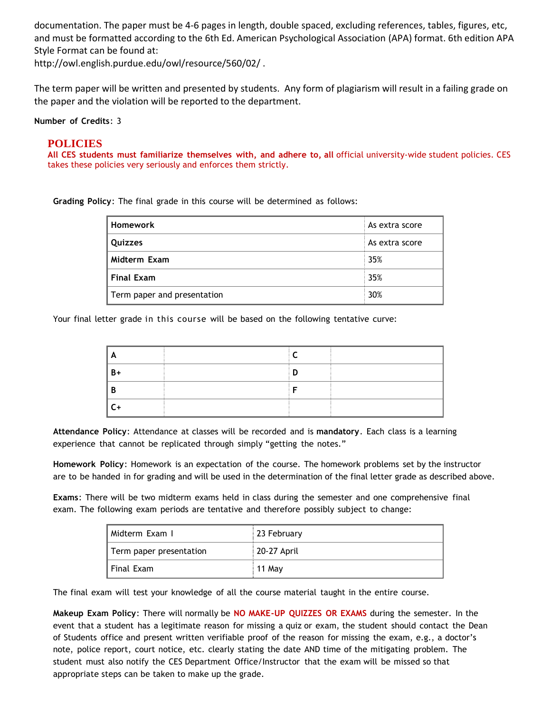documentation. The paper must be 4-6 pages in length, double spaced, excluding references, tables, figures, etc, and must be formatted according to the 6th Ed. American Psychological Association (APA) format. 6th edition APA Style Format can be found at:

http://owl.english.purdue.edu/owl/resource/560/02/ .

The term paper will be written and presented by students. Any form of plagiarism will result in a failing grade on the paper and the violation will be reported to the department.

**Number of Credits**: 3

#### **POLICIES**

**All CES students must familiarize themselves with, and adhere to, all** official university-wide student policies. CES takes these policies very seriously and enforces them strictly.

**Grading Policy**: The final grade in this course will be determined as follows:

| <b>Homework</b>             | As extra score |
|-----------------------------|----------------|
| Quizzes                     | As extra score |
| Midterm Exam                | 35%            |
| <b>Final Exam</b>           | 35%            |
| Term paper and presentation | 30%            |

Your final letter grade in this course will be based on the following tentative curve:

| A    |  |  |
|------|--|--|
| $B+$ |  |  |
| В    |  |  |
| C.   |  |  |

**Attendance Policy**: Attendance at classes will be recorded and is **mandatory**. Each class is a learning experience that cannot be replicated through simply "getting the notes."

**Homework Policy**: Homework is an expectation of the course. The homework problems set by the instructor are to be handed in for grading and will be used in the determination of the final letter grade as described above.

**Exams**: There will be two midterm exams held in class during the semester and one comprehensive final exam. The following exam periods are tentative and therefore possibly subject to change:

| Midterm Exam I          | 23 February |
|-------------------------|-------------|
| Term paper presentation | 20-27 April |
| Final Exam              | 11 May      |

The final exam will test your knowledge of all the course material taught in the entire course.

**Makeup Exam Policy**: There will normally be **NO MAKE-UP QUIZZES OR EXAMS** during the semester. In the event that a student has a legitimate reason for missing a quiz or exam, the student should contact the Dean of Students office and present written verifiable proof of the reason for missing the exam, e.g., a doctor's note, police report, court notice, etc. clearly stating the date AND time of the mitigating problem. The student must also notify the CES Department Office/Instructor that the exam will be missed so that appropriate steps can be taken to make up the grade.